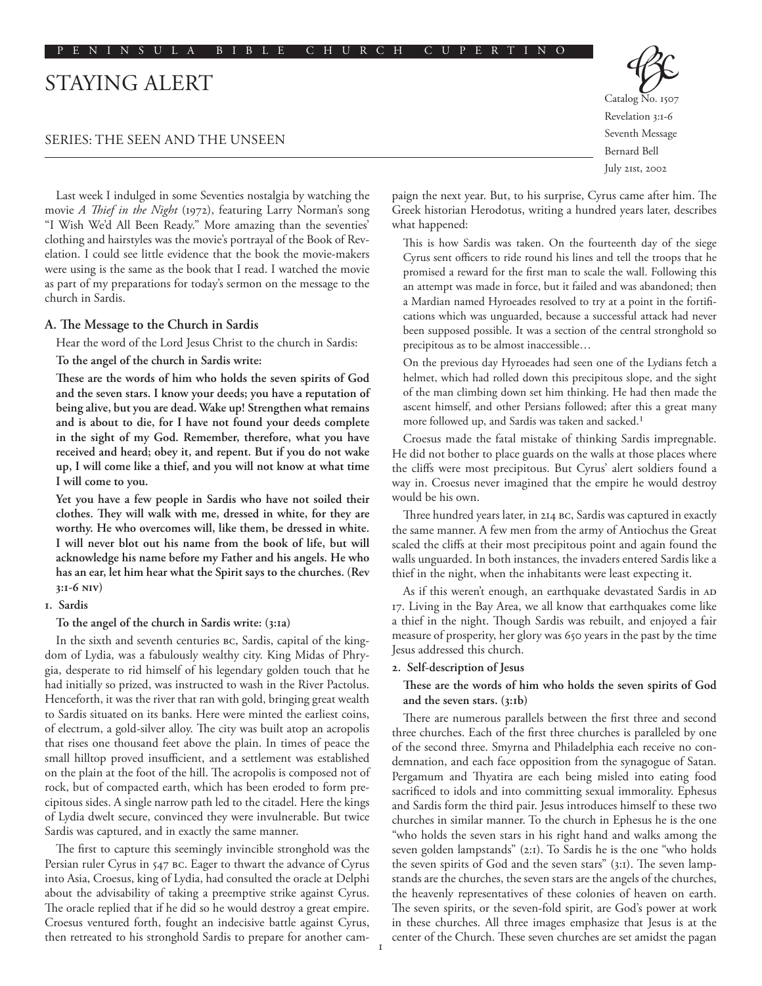# Staying Alert

# Series: The Seen and the Unseen

Catalog No. 1507 Revelation 3:1-6 Seventh Message Bernard Bell July 21st, 2002

Last week I indulged in some Seventies nostalgia by watching the movie *A Thief in the Night* (1972), featuring Larry Norman's song "I Wish We'd All Been Ready." More amazing than the seventies' clothing and hairstyles was the movie's portrayal of the Book of Revelation. I could see little evidence that the book the movie-makers were using is the same as the book that I read. I watched the movie as part of my preparations for today's sermon on the message to the church in Sardis.

#### **A. The Message to the Church in Sardis**

Hear the word of the Lord Jesus Christ to the church in Sardis:

# **To the angel of the church in Sardis write:**

**These are the words of him who holds the seven spirits of God and the seven stars. I know your deeds; you have a reputation of being alive, but you are dead. Wake up! Strengthen what remains and is about to die, for I have not found your deeds complete in the sight of my God. Remember, therefore, what you have received and heard; obey it, and repent. But if you do not wake up, I will come like a thief, and you will not know at what time I will come to you.**

**Yet you have a few people in Sardis who have not soiled their clothes. They will walk with me, dressed in white, for they are worthy. He who overcomes will, like them, be dressed in white. I will never blot out his name from the book of life, but will acknowledge his name before my Father and his angels. He who has an ear, let him hear what the Spirit says to the churches. (Rev 3:1-6 NIV)**

## **1. Sardis**

#### **To the angel of the church in Sardis write: (3:1a)**

In the sixth and seventh centuries BC, Sardis, capital of the kingdom of Lydia, was a fabulously wealthy city. King Midas of Phrygia, desperate to rid himself of his legendary golden touch that he had initially so prized, was instructed to wash in the River Pactolus. Henceforth, it was the river that ran with gold, bringing great wealth to Sardis situated on its banks. Here were minted the earliest coins, of electrum, a gold-silver alloy. The city was built atop an acropolis that rises one thousand feet above the plain. In times of peace the small hilltop proved insufficient, and a settlement was established on the plain at the foot of the hill. The acropolis is composed not of rock, but of compacted earth, which has been eroded to form precipitous sides. A single narrow path led to the citadel. Here the kings of Lydia dwelt secure, convinced they were invulnerable. But twice Sardis was captured, and in exactly the same manner.

The first to capture this seemingly invincible stronghold was the Persian ruler Cyrus in 547 BC. Eager to thwart the advance of Cyrus into Asia, Croesus, king of Lydia, had consulted the oracle at Delphi about the advisability of taking a preemptive strike against Cyrus. The oracle replied that if he did so he would destroy a great empire. Croesus ventured forth, fought an indecisive battle against Cyrus, then retreated to his stronghold Sardis to prepare for another cam-

paign the next year. But, to his surprise, Cyrus came after him. The Greek historian Herodotus, writing a hundred years later, describes what happened:

This is how Sardis was taken. On the fourteenth day of the siege Cyrus sent officers to ride round his lines and tell the troops that he promised a reward for the first man to scale the wall. Following this an attempt was made in force, but it failed and was abandoned; then a Mardian named Hyroeades resolved to try at a point in the fortifications which was unguarded, because a successful attack had never been supposed possible. It was a section of the central stronghold so precipitous as to be almost inaccessible…

On the previous day Hyroeades had seen one of the Lydians fetch a helmet, which had rolled down this precipitous slope, and the sight of the man climbing down set him thinking. He had then made the ascent himself, and other Persians followed; after this a great many more followed up, and Sardis was taken and sacked.<sup>1</sup>

Croesus made the fatal mistake of thinking Sardis impregnable. He did not bother to place guards on the walls at those places where the cliffs were most precipitous. But Cyrus' alert soldiers found a way in. Croesus never imagined that the empire he would destroy would be his own.

Three hundred years later, in 214 BC, Sardis was captured in exactly the same manner. A few men from the army of Antiochus the Great scaled the cliffs at their most precipitous point and again found the walls unguarded. In both instances, the invaders entered Sardis like a thief in the night, when the inhabitants were least expecting it.

As if this weren't enough, an earthquake devastated Sardis in AD 17. Living in the Bay Area, we all know that earthquakes come like a thief in the night. Though Sardis was rebuilt, and enjoyed a fair measure of prosperity, her glory was 650 years in the past by the time Jesus addressed this church.

#### **2. Self-description of Jesus**

# **These are the words of him who holds the seven spirits of God and the seven stars. (3:1b)**

There are numerous parallels between the first three and second three churches. Each of the first three churches is paralleled by one of the second three. Smyrna and Philadelphia each receive no condemnation, and each face opposition from the synagogue of Satan. Pergamum and Thyatira are each being misled into eating food sacrificed to idols and into committing sexual immorality. Ephesus and Sardis form the third pair. Jesus introduces himself to these two churches in similar manner. To the church in Ephesus he is the one "who holds the seven stars in his right hand and walks among the seven golden lampstands" (2:1). To Sardis he is the one "who holds the seven spirits of God and the seven stars" (3:1). The seven lampstands are the churches, the seven stars are the angels of the churches, the heavenly representatives of these colonies of heaven on earth. The seven spirits, or the seven-fold spirit, are God's power at work in these churches. All three images emphasize that Jesus is at the center of the Church. These seven churches are set amidst the pagan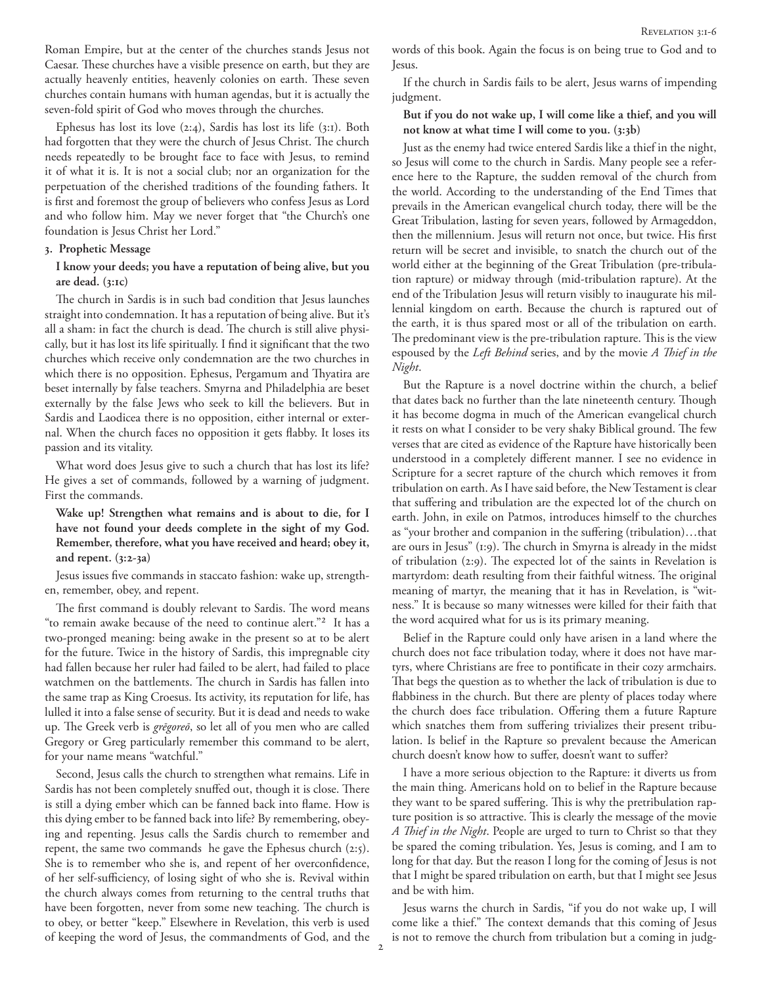Roman Empire, but at the center of the churches stands Jesus not Caesar. These churches have a visible presence on earth, but they are actually heavenly entities, heavenly colonies on earth. These seven churches contain humans with human agendas, but it is actually the seven-fold spirit of God who moves through the churches.

Ephesus has lost its love (2:4), Sardis has lost its life (3:1). Both had forgotten that they were the church of Jesus Christ. The church needs repeatedly to be brought face to face with Jesus, to remind it of what it is. It is not a social club; nor an organization for the perpetuation of the cherished traditions of the founding fathers. It is first and foremost the group of believers who confess Jesus as Lord and who follow him. May we never forget that "the Church's one foundation is Jesus Christ her Lord."

# **3. Prophetic Message**

# **I know your deeds; you have a reputation of being alive, but you are dead. (3:1c)**

The church in Sardis is in such bad condition that Jesus launches straight into condemnation. It has a reputation of being alive. But it's all a sham: in fact the church is dead. The church is still alive physically, but it has lost its life spiritually. I find it significant that the two churches which receive only condemnation are the two churches in which there is no opposition. Ephesus, Pergamum and Thyatira are beset internally by false teachers. Smyrna and Philadelphia are beset externally by the false Jews who seek to kill the believers. But in Sardis and Laodicea there is no opposition, either internal or external. When the church faces no opposition it gets flabby. It loses its passion and its vitality.

What word does Jesus give to such a church that has lost its life? He gives a set of commands, followed by a warning of judgment. First the commands.

# **Wake up! Strengthen what remains and is about to die, for I have not found your deeds complete in the sight of my God. Remember, therefore, what you have received and heard; obey it, and repent. (3:2-3a)**

Jesus issues five commands in staccato fashion: wake up, strengthen, remember, obey, and repent.

The first command is doubly relevant to Sardis. The word means "to remain awake because of the need to continue alert."2 It has a two-pronged meaning: being awake in the present so at to be alert for the future. Twice in the history of Sardis, this impregnable city had fallen because her ruler had failed to be alert, had failed to place watchmen on the battlements. The church in Sardis has fallen into the same trap as King Croesus. Its activity, its reputation for life, has lulled it into a false sense of security. But it is dead and needs to wake up. The Greek verb is *grēgoreō*, so let all of you men who are called Gregory or Greg particularly remember this command to be alert, for your name means "watchful."

Second, Jesus calls the church to strengthen what remains. Life in Sardis has not been completely snuffed out, though it is close. There is still a dying ember which can be fanned back into flame. How is this dying ember to be fanned back into life? By remembering, obeying and repenting. Jesus calls the Sardis church to remember and repent, the same two commands he gave the Ephesus church (2:5). She is to remember who she is, and repent of her overconfidence, of her self-sufficiency, of losing sight of who she is. Revival within the church always comes from returning to the central truths that have been forgotten, never from some new teaching. The church is to obey, or better "keep." Elsewhere in Revelation, this verb is used of keeping the word of Jesus, the commandments of God, and the words of this book. Again the focus is on being true to God and to Jesus.

If the church in Sardis fails to be alert, Jesus warns of impending judgment.

# **But if you do not wake up, I will come like a thief, and you will not know at what time I will come to you. (3:3b)**

Just as the enemy had twice entered Sardis like a thief in the night, so Jesus will come to the church in Sardis. Many people see a reference here to the Rapture, the sudden removal of the church from the world. According to the understanding of the End Times that prevails in the American evangelical church today, there will be the Great Tribulation, lasting for seven years, followed by Armageddon, then the millennium. Jesus will return not once, but twice. His first return will be secret and invisible, to snatch the church out of the world either at the beginning of the Great Tribulation (pre-tribulation rapture) or midway through (mid-tribulation rapture). At the end of the Tribulation Jesus will return visibly to inaugurate his millennial kingdom on earth. Because the church is raptured out of the earth, it is thus spared most or all of the tribulation on earth. The predominant view is the pre-tribulation rapture. This is the view espoused by the *Left Behind* series, and by the movie *A Thief in the Night*.

But the Rapture is a novel doctrine within the church, a belief that dates back no further than the late nineteenth century. Though it has become dogma in much of the American evangelical church it rests on what I consider to be very shaky Biblical ground. The few verses that are cited as evidence of the Rapture have historically been understood in a completely different manner. I see no evidence in Scripture for a secret rapture of the church which removes it from tribulation on earth. As I have said before, the New Testament is clear that suffering and tribulation are the expected lot of the church on earth. John, in exile on Patmos, introduces himself to the churches as "your brother and companion in the suffering (tribulation)…that are ours in Jesus" (1:9). The church in Smyrna is already in the midst of tribulation (2:9). The expected lot of the saints in Revelation is martyrdom: death resulting from their faithful witness. The original meaning of martyr, the meaning that it has in Revelation, is "witness." It is because so many witnesses were killed for their faith that the word acquired what for us is its primary meaning.

Belief in the Rapture could only have arisen in a land where the church does not face tribulation today, where it does not have martyrs, where Christians are free to pontificate in their cozy armchairs. That begs the question as to whether the lack of tribulation is due to flabbiness in the church. But there are plenty of places today where the church does face tribulation. Offering them a future Rapture which snatches them from suffering trivializes their present tribulation. Is belief in the Rapture so prevalent because the American church doesn't know how to suffer, doesn't want to suffer?

I have a more serious objection to the Rapture: it diverts us from the main thing. Americans hold on to belief in the Rapture because they want to be spared suffering. This is why the pretribulation rapture position is so attractive. This is clearly the message of the movie *A Thief in the Night*. People are urged to turn to Christ so that they be spared the coming tribulation. Yes, Jesus is coming, and I am to long for that day. But the reason I long for the coming of Jesus is not that I might be spared tribulation on earth, but that I might see Jesus and be with him.

Jesus warns the church in Sardis, "if you do not wake up, I will come like a thief." The context demands that this coming of Jesus is not to remove the church from tribulation but a coming in judg-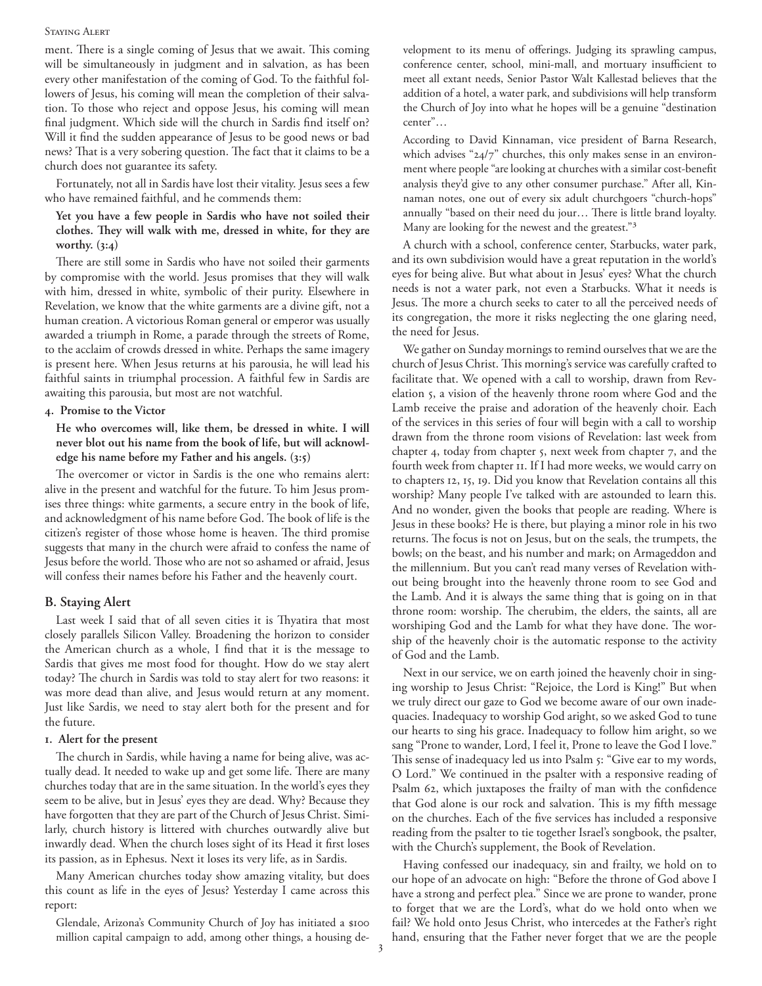#### Staying Alert

ment. There is a single coming of Jesus that we await. This coming will be simultaneously in judgment and in salvation, as has been every other manifestation of the coming of God. To the faithful followers of Jesus, his coming will mean the completion of their salvation. To those who reject and oppose Jesus, his coming will mean final judgment. Which side will the church in Sardis find itself on? Will it find the sudden appearance of Jesus to be good news or bad news? That is a very sobering question. The fact that it claims to be a church does not guarantee its safety.

Fortunately, not all in Sardis have lost their vitality. Jesus sees a few who have remained faithful, and he commends them:

**Yet you have a few people in Sardis who have not soiled their clothes. They will walk with me, dressed in white, for they are worthy. (3:4)**

There are still some in Sardis who have not soiled their garments by compromise with the world. Jesus promises that they will walk with him, dressed in white, symbolic of their purity. Elsewhere in Revelation, we know that the white garments are a divine gift, not a human creation. A victorious Roman general or emperor was usually awarded a triumph in Rome, a parade through the streets of Rome, to the acclaim of crowds dressed in white. Perhaps the same imagery is present here. When Jesus returns at his parousia, he will lead his faithful saints in triumphal procession. A faithful few in Sardis are awaiting this parousia, but most are not watchful.

## **4. Promise to the Victor**

**He who overcomes will, like them, be dressed in white. I will never blot out his name from the book of life, but will acknowledge his name before my Father and his angels. (3:5)**

The overcomer or victor in Sardis is the one who remains alert: alive in the present and watchful for the future. To him Jesus promises three things: white garments, a secure entry in the book of life, and acknowledgment of his name before God. The book of life is the citizen's register of those whose home is heaven. The third promise suggests that many in the church were afraid to confess the name of Jesus before the world. Those who are not so ashamed or afraid, Jesus will confess their names before his Father and the heavenly court.

## **B. Staying Alert**

Last week I said that of all seven cities it is Thyatira that most closely parallels Silicon Valley. Broadening the horizon to consider the American church as a whole, I find that it is the message to Sardis that gives me most food for thought. How do we stay alert today? The church in Sardis was told to stay alert for two reasons: it was more dead than alive, and Jesus would return at any moment. Just like Sardis, we need to stay alert both for the present and for the future.

## **1. Alert for the present**

The church in Sardis, while having a name for being alive, was actually dead. It needed to wake up and get some life. There are many churches today that are in the same situation. In the world's eyes they seem to be alive, but in Jesus' eyes they are dead. Why? Because they have forgotten that they are part of the Church of Jesus Christ. Similarly, church history is littered with churches outwardly alive but inwardly dead. When the church loses sight of its Head it first loses its passion, as in Ephesus. Next it loses its very life, as in Sardis.

Many American churches today show amazing vitality, but does this count as life in the eyes of Jesus? Yesterday I came across this report:

Glendale, Arizona's Community Church of Joy has initiated a \$100 million capital campaign to add, among other things, a housing development to its menu of offerings. Judging its sprawling campus, conference center, school, mini-mall, and mortuary insufficient to meet all extant needs, Senior Pastor Walt Kallestad believes that the addition of a hotel, a water park, and subdivisions will help transform the Church of Joy into what he hopes will be a genuine "destination center"…

According to David Kinnaman, vice president of Barna Research, which advises "24/7" churches, this only makes sense in an environment where people "are looking at churches with a similar cost-benefit analysis they'd give to any other consumer purchase." After all, Kinnaman notes, one out of every six adult churchgoers "church-hops" annually "based on their need du jour… There is little brand loyalty. Many are looking for the newest and the greatest."3

A church with a school, conference center, Starbucks, water park, and its own subdivision would have a great reputation in the world's eyes for being alive. But what about in Jesus' eyes? What the church needs is not a water park, not even a Starbucks. What it needs is Jesus. The more a church seeks to cater to all the perceived needs of its congregation, the more it risks neglecting the one glaring need, the need for Jesus.

We gather on Sunday mornings to remind ourselves that we are the church of Jesus Christ. This morning's service was carefully crafted to facilitate that. We opened with a call to worship, drawn from Revelation 5, a vision of the heavenly throne room where God and the Lamb receive the praise and adoration of the heavenly choir. Each of the services in this series of four will begin with a call to worship drawn from the throne room visions of Revelation: last week from chapter 4, today from chapter 5, next week from chapter 7, and the fourth week from chapter 11. If I had more weeks, we would carry on to chapters 12, 15, 19. Did you know that Revelation contains all this worship? Many people I've talked with are astounded to learn this. And no wonder, given the books that people are reading. Where is Jesus in these books? He is there, but playing a minor role in his two returns. The focus is not on Jesus, but on the seals, the trumpets, the bowls; on the beast, and his number and mark; on Armageddon and the millennium. But you can't read many verses of Revelation without being brought into the heavenly throne room to see God and the Lamb. And it is always the same thing that is going on in that throne room: worship. The cherubim, the elders, the saints, all are worshiping God and the Lamb for what they have done. The worship of the heavenly choir is the automatic response to the activity of God and the Lamb.

Next in our service, we on earth joined the heavenly choir in singing worship to Jesus Christ: "Rejoice, the Lord is King!" But when we truly direct our gaze to God we become aware of our own inadequacies. Inadequacy to worship God aright, so we asked God to tune our hearts to sing his grace. Inadequacy to follow him aright, so we sang "Prone to wander, Lord, I feel it, Prone to leave the God I love." This sense of inadequacy led us into Psalm 5: "Give ear to my words, O Lord." We continued in the psalter with a responsive reading of Psalm 62, which juxtaposes the frailty of man with the confidence that God alone is our rock and salvation. This is my fifth message on the churches. Each of the five services has included a responsive reading from the psalter to tie together Israel's songbook, the psalter, with the Church's supplement, the Book of Revelation.

Having confessed our inadequacy, sin and frailty, we hold on to our hope of an advocate on high: "Before the throne of God above I have a strong and perfect plea." Since we are prone to wander, prone to forget that we are the Lord's, what do we hold onto when we fail? We hold onto Jesus Christ, who intercedes at the Father's right hand, ensuring that the Father never forget that we are the people